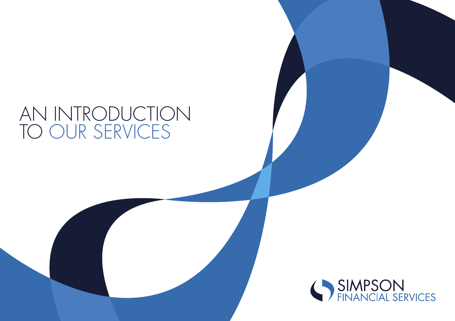# AN INTRODUCTION TO OUR SERVICES

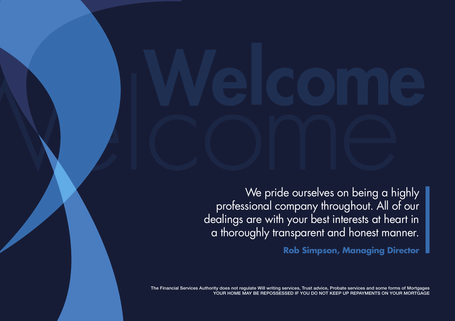# We **COME**

We pride ourselves on being a highly professional company throughout. All of our dealings are with your best interests at heart in a thoroughly transparent and honest manner.

**Rob Simpson, Managing Director**

The Financial Services Authority does not regulate Will writing services, Trust advice, Probate services and some forms of Mortgages YOUR HOME MAY BE REPOSSESSED IF YOU DO NOT KEEP UP REPAYMENTS ON YOUR MORTGAGE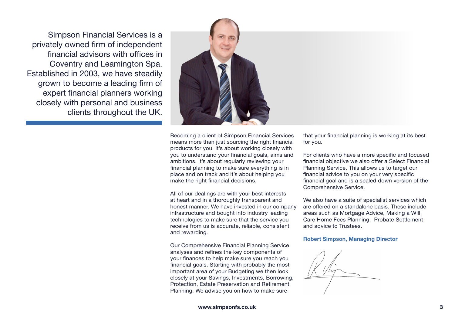Simpson Financial Services is a privately owned firm of independent financial advisors with offices in Coventry and Leamington Spa. Established in 2003, we have steadily grown to become a leading firm of expert financial planners working closely with personal and business clients throughout the UK.



Becoming a client of Simpson Financial Services means more than just sourcing the right financial products for you. It's about working closely with you to understand your financial goals, aims and ambitions. It's about regularly reviewing your financial planning to make sure everything is in place and on track and it's about helping you make the right financial decisions.

All of our dealings are with your best interests at heart and in a thoroughly transparent and honest manner. We have invested in our company infrastructure and bought into industry leading technologies to make sure that the service you receive from us is accurate, reliable, consistent and rewarding.

Our Comprehensive Financial Planning Service analyses and refines the key components of your finances to help make sure you reach you financial goals. Starting with probably the most important area of your Budgeting we then look closely at your Savings, Investments, Borrowing, Protection, Estate Preservation and Retirement Planning. We advise you on how to make sure

that your financial planning is working at its best for you.

For clients who have a more specific and focused financial objective we also offer a Select Financial Planning Service. This allows us to target our financial advice to you on your very specific financial goal and is a scaled down version of the Comprehensive Service.

We also have a suite of specialist services which are offered on a standalone basis. These include areas such as Mortgage Advice, Making a Will, Care Home Fees Planning, Probate Settlement and advice to Trustees.

### **Robert Simpson, Managing Director**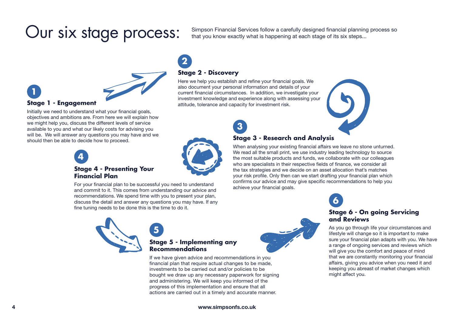# Our six stage process:

Simpson Financial Services follow a carefully designed financial planning process so that you know exactly what is happening at each stage of its six steps...



### **Stage 1 - Engagement**

Initially we need to understand what your financial goals, objectives and ambitions are. From here we will explain how we might help you, discuss the different levels of service available to you and what our likely costs for advising you will be. We will answer any questions you may have and we should then be able to decide how to proceed.



### **Stage 4 - Presenting Your Financial Plan**

For your financial plan to be successful you need to understand and commit to it. This comes from understanding our advice and recommendations. We spend time with you to present your plan, discuss the detail and answer any questions you may have. If any fine tuning needs to be done this is the time to do it.

**5**

**Recommendations**

### **Stage 3 - Research and Analysis**

When analysing your existing financial affairs we leave no stone unturned. We read all the small print, we use industry leading technology to source the most suitable products and funds, we collaborate with our colleagues who are specialists in their respective fields of finance, we consider all the tax strategies and we decide on an asset allocation that's matches your risk profile. Only then can we start drafting your financial plan which confirms our advice and may give specific recommendations to help you achieve your financial goals.



### **Stage 6 - On going Servicing and Reviews 6**

As you go through life your circumstances and lifestyle will change so it is important to make sure your financial plan adapts with you. We have a range of ongoing services and reviews which will give you the comfort and peace of mind that we are constantly monitoring your financial affairs, giving you advice when you need it and keeping you abreast of market changes which might affect you.

If we have given advice and recommendations in you financial plan that require actual changes to be made, investments to be carried out and/or policies to be bought we draw up any necessary paperwork for signing and administering. We will keep you informed of the progress of this implementation and ensure that all actions are carried out in a timely and accurate manner.

**Stage 2 - Discovery**

**2**

Here we help you establish and refine your financial goals. We also document your personal information and details of your current financial circumstances. In addition, we investigate your investment knowledge and experience along with assessing your

attitude, tolerance and capacity for investment risk.

**3**



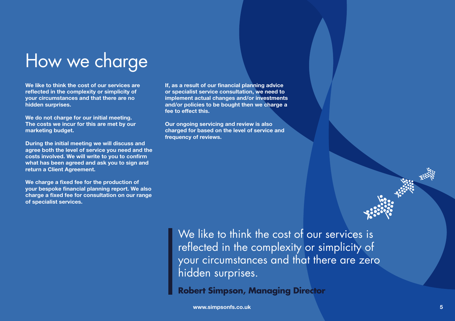How we charge

**We like to think the cost of our services are reflected in the complexity or simplicity of your circumstances and that there are no hidden surprises.**

**We do not charge for our initial meeting. The costs we incur for this are met by our marketing budget.** 

**During the initial meeting we will discuss and agree both the level of service you need and the costs involved. We will write to you to confirm what has been agreed and ask you to sign and return a Client Agreement.**

**We charge a fixed fee for the production of your bespoke financial planning report. We also charge a fixed fee for consultation on our range of specialist services.**

**If, as a result of our financial planning advice or specialist service consultation, we need to implement actual changes and/or investments and/or policies to be bought then we charge a fee to effect this.**

**Our ongoing servicing and review is also charged for based on the level of service and frequency of reviews.** 

We like to think the cost of our services is reflected in the complexity or simplicity of your circumstances and that there are zero hidden surprises.

**Robert Simpson, Managing Director**

**Barnet Barnet Barnet**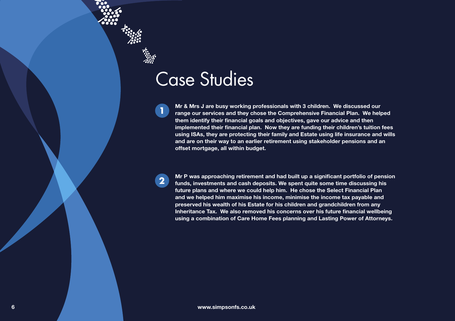# Case Studies

**Mr & Mrs J are busy working professionals with 3 children. We discussed our range our services and they chose the Comprehensive Financial Plan. We helped them identify their financial goals and objectives, gave our advice and then implemented their financial plan. Now they are funding their children's tuition fees using ISAs, they are protecting their family and Estate using life insurance and wills and are on their way to an earlier retirement using stakeholder pensions and an offset mortgage, all within budget.**



**1**

**Mr P was approaching retirement and had built up a significant portfolio of pension funds, investments and cash deposits. We spent quite some time discussing his future plans and where we could help him. He chose the Select Financial Plan and we helped him maximise his income, minimise the income tax payable and preserved his wealth of his Estate for his children and grandchildren from any Inheritance Tax. We also removed his concerns over his future financial wellbeing using a combination of Care Home Fees planning and Lasting Power of Attorneys.**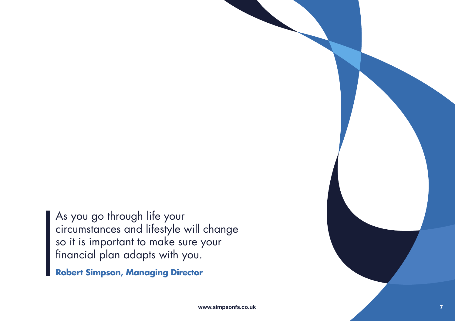As you go through life your circumstances and lifestyle will change so it is important to make sure your financial plan adapts with you.

**Robert Simpson, Managing Director**